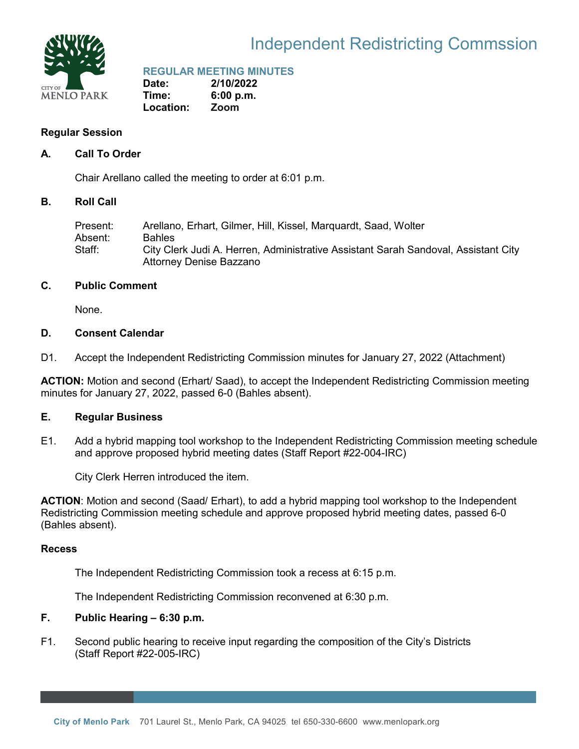

### Independent Redistricting Commssion

### **REGULAR MEETING MINUTES**

**Date: 2/10/2022 Time: 6:00 p.m. Location: Zoom**

### **Regular Session**

### **A. Call To Order**

Chair Arellano called the meeting to order at 6:01 p.m.

### **B. Roll Call**

Present: Arellano, Erhart, Gilmer, Hill, Kissel, Marquardt, Saad, Wolter Absent: Bahles Staff: City Clerk Judi A. Herren, Administrative Assistant Sarah Sandoval, Assistant City Attorney Denise Bazzano

### **C. Public Comment**

None.

### **D. Consent Calendar**

D1. Accept the Independent Redistricting Commission minutes for January 27, 2022 (Attachment)

**ACTION:** Motion and second (Erhart/ Saad), to accept the Independent Redistricting Commission meeting minutes for January 27, 2022, passed 6-0 (Bahles absent).

### **E. Regular Business**

E1. Add a hybrid mapping tool workshop to the Independent Redistricting Commission meeting schedule and approve proposed hybrid meeting dates (Staff Report #22-004-IRC)

City Clerk Herren introduced the item.

**ACTION**: Motion and second (Saad/ Erhart), to add a hybrid mapping tool workshop to the Independent Redistricting Commission meeting schedule and approve proposed hybrid meeting dates, passed 6-0 (Bahles absent).

### **Recess**

The Independent Redistricting Commission took a recess at 6:15 p.m.

The Independent Redistricting Commission reconvened at 6:30 p.m.

### **F. Public Hearing – 6:30 p.m.**

F1. Second public hearing to receive input regarding the composition of the City's Districts (Staff Report #22-005-IRC)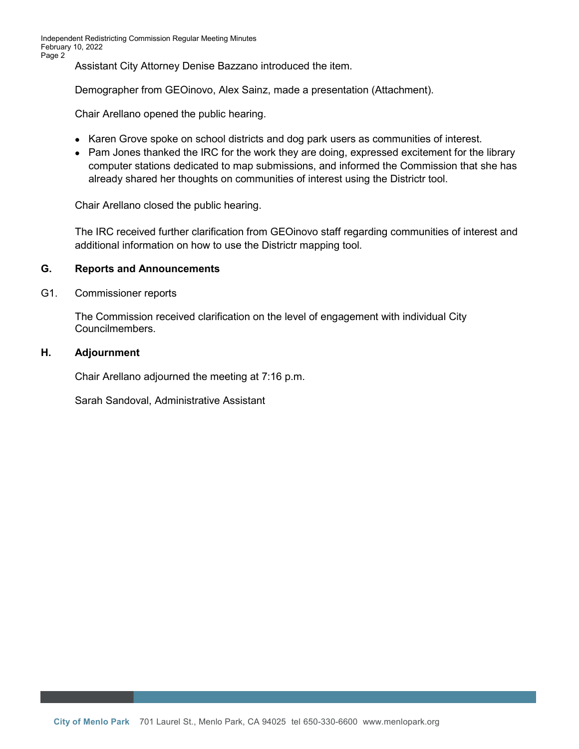Assistant City Attorney Denise Bazzano introduced the item.

Demographer from GEOinovo, Alex Sainz, made a presentation (Attachment).

Chair Arellano opened the public hearing.

- Karen Grove spoke on school districts and dog park users as communities of interest.
- Pam Jones thanked the IRC for the work they are doing, expressed excitement for the library computer stations dedicated to map submissions, and informed the Commission that she has already shared her thoughts on communities of interest using the Districtr tool.

Chair Arellano closed the public hearing.

The IRC received further clarification from GEOinovo staff regarding communities of interest and additional information on how to use the Districtr mapping tool.

### **G. Reports and Announcements**

#### G1. Commissioner reports

The Commission received clarification on the level of engagement with individual City Councilmembers.

#### **H. Adjournment**

Chair Arellano adjourned the meeting at 7:16 p.m.

Sarah Sandoval, Administrative Assistant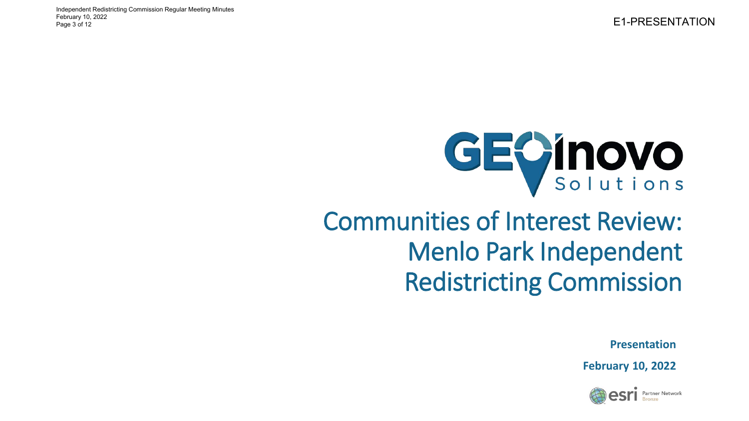E1-PRESENTATION Independent Redistricting Commission Regular Meeting Minutes February 10, 2022 Page 3 of 12

# GEOINOVO

### Communities of Interest Review: Menlo Park Independent Redistricting Commission

**Presentation**

**February 10, 2022**

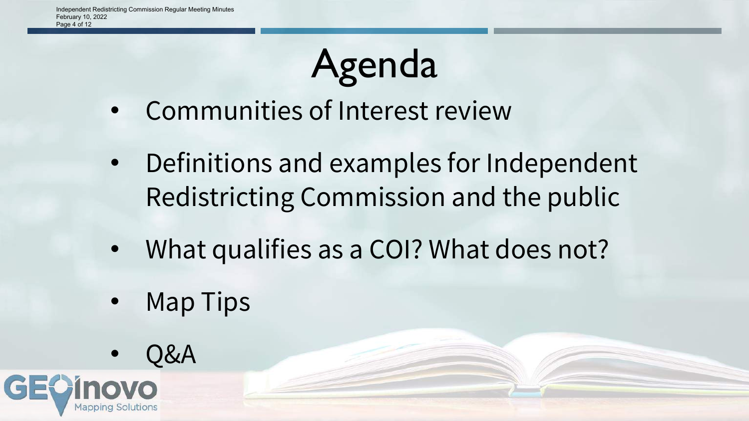## Agenda

- Communities of Interest review
- Definitions and examples for Independent Redistricting Commission and the public
- What qualifies as a COI? What does not?
- Map Tips
- Q&A

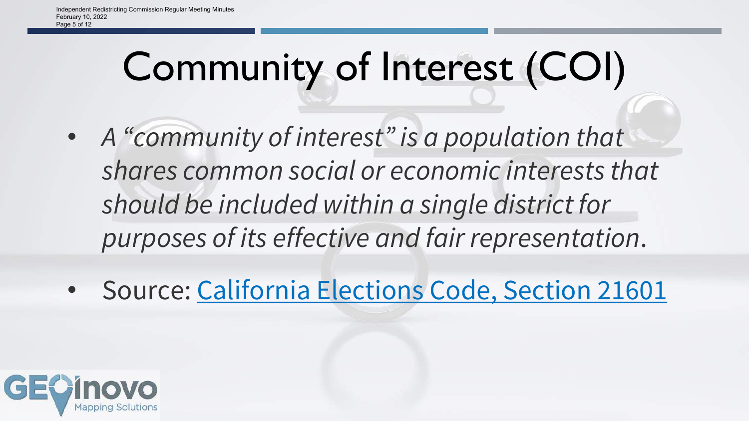## Community of Interest (COI)

- *A "community of interest" is a population that shares common social or economic interests that should be included within a single district for purposes of its effective and fair representation*.
- Source: [California](https://leginfo.legislature.ca.gov/faces/billNavClient.xhtml?bill_id=201920200AB849) Elections Code, Section 21601

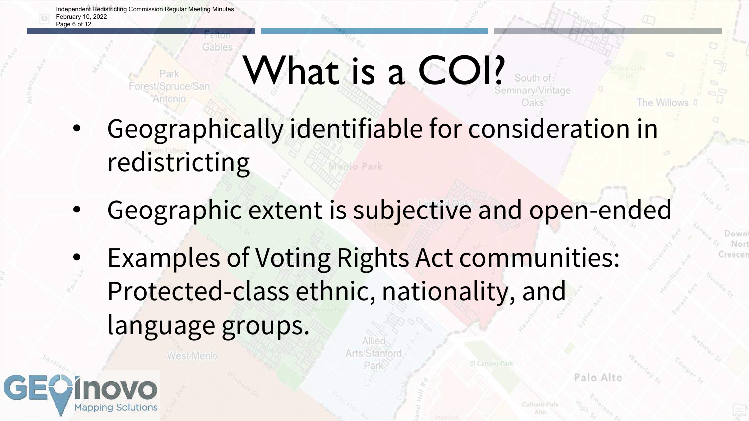Park Forest/Spruce/San

West Menlo

геног Gables

# What is a COI?

- Geographically identifiable for consideration in redistricting
- Geographic extent is subjective and open-ended

Arts/Stanfor

Examples of Voting Rights Act communities: Protected-class ethnic, nationality, and language groups.



Palo Alto

Downt Nori Crescen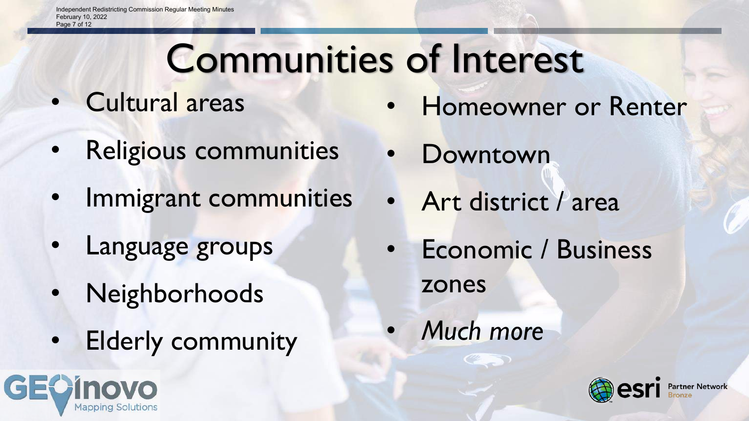## Communities of Interest

- Cultural areas
- Religious communities
- Immigrant communities
- Language groups
- Neighborhoods
- Elderly community



- Homeowner or Renter
- **Downtown**
- Art district / area
- Economic / Business zones
- *Much more*

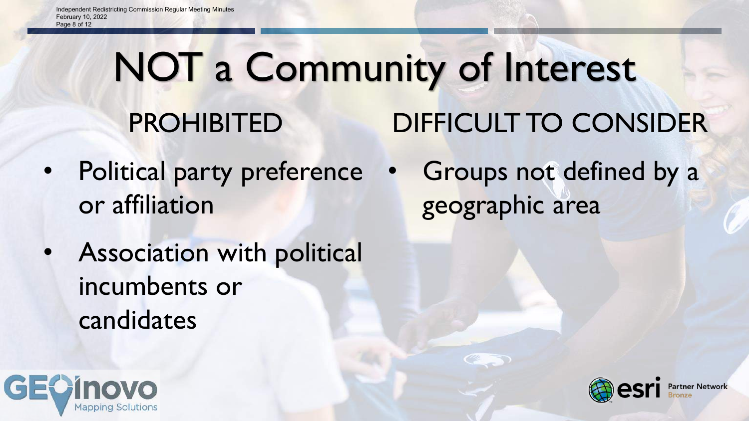### NOT a Community of Interest PROHIBITED DIFFICULT TO CONSIDER

- Political party preference or affiliation
- Association with political incumbents or candidates





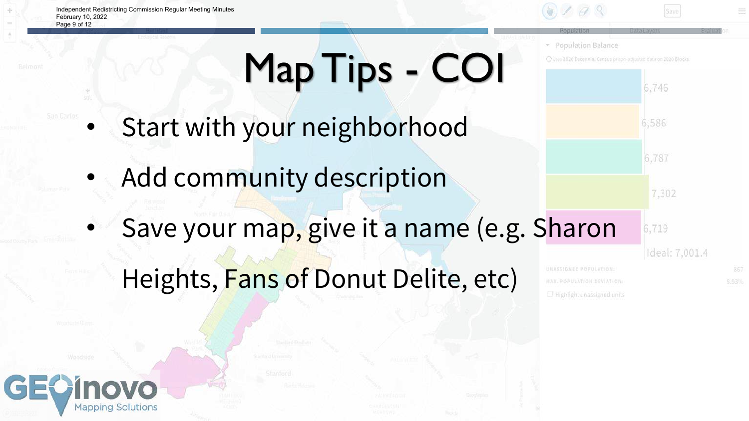Independent Redistricting Commission Regular Meeting Minutes February 10, 2022 Page 9 of 12



\* Population Balance

MAX. POPULATION DEVIATION: U Highlight unassigned units

10 Uses 2020 Decennial Census prison-adjusted data on 2020 Blocks.

6,746

6,586

6.787

6,719

7,302

Ideal: 7,001.4

# Map Tips - COI

- Start with your neighborhood
- Add community description
- Save your map, give it a name (e.g. Sharon

## Heights, Fans of Donut Delite, etc)

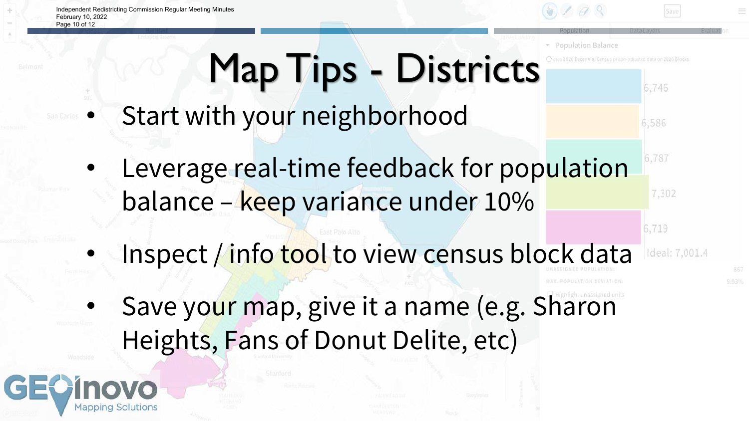Independent Redistricting Commission Regular Meeting Minutes February 10, 2022 Page 10 of 12



**Population Balance** 

6,746

6,586

6.787

6,719

7,302

Ideal: 7,001.4

## Map Tips - Districts

- Start with your neighborhood
	- Leverage real-time feedback for population balance – keep variance under 10%
	- Inspect / info tool to view census block data
- Save your map, give it a name (e.g. Sharon Heights, Fans of Donut Delite, etc)

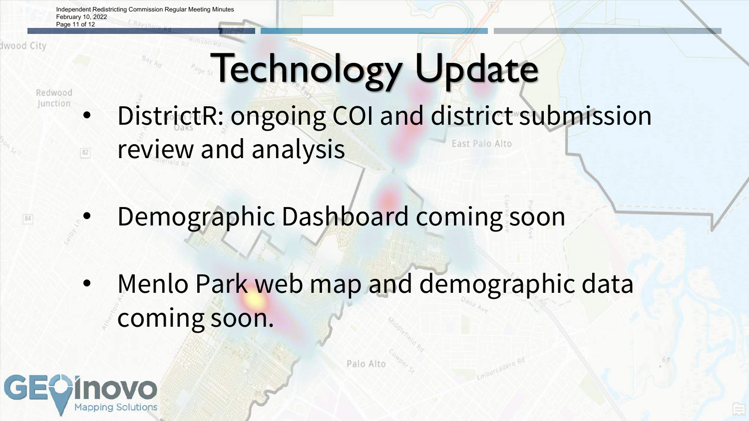Independent Redistricting Commission Regular Meeting Minutes February 10, 2022 Page 11 of 12

 $B_{dy}$   $R_d$ 

Iwood City

 $84$ 

## **Technology Update**

Redwood Junction

 $\boxed{82}$ 

• DistrictR: ongoing COI and district submission

East Palo Alto

- review and analysis
- Demographic Dashboard coming soon
- Menlo Park web map and demographic data coming soon.

Palo Alto